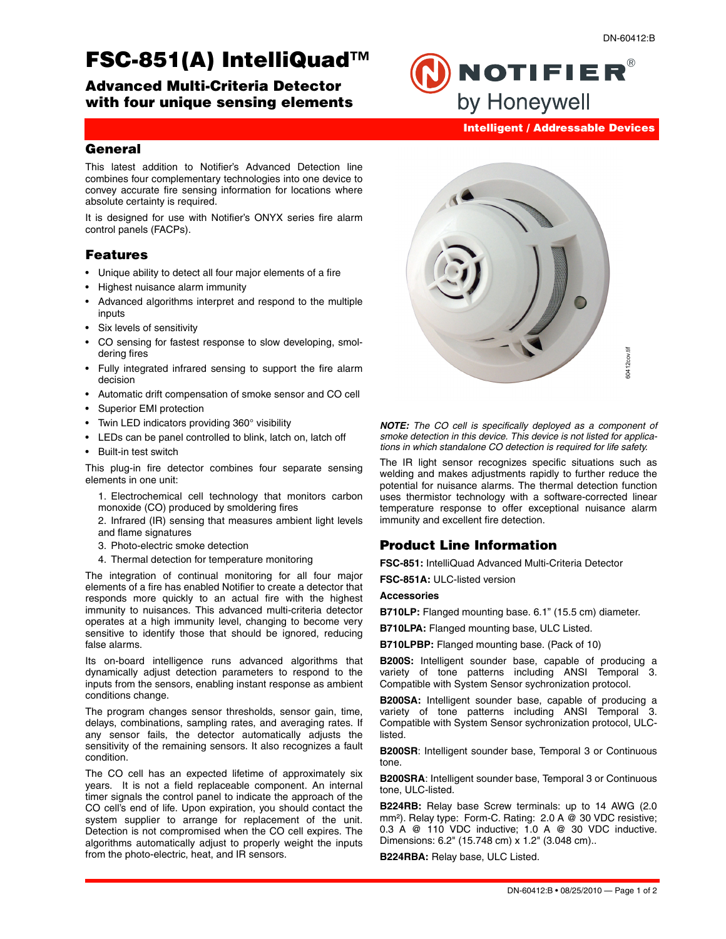# **FSC-851(A) IntelliQuad™**

**Advanced Multi-Criteria Detector with four unique sensing elements**

# **Intelligent / Addressable Devices**

**NOTIFIER®** 

by Honeywell

# **General**

This latest addition to Notifier's Advanced Detection line combines four complementary technologies into one device to convey accurate fire sensing information for locations where absolute certainty is required.

It is designed for use with Notifier's ONYX series fire alarm control panels (FACPs).

#### **Features**

- Unique ability to detect all four major elements of a fire
- Highest nuisance alarm immunity
- Advanced algorithms interpret and respond to the multiple inputs
- Six levels of sensitivity
- CO sensing for fastest response to slow developing, smoldering fires
- Fully integrated infrared sensing to support the fire alarm decision
- Automatic drift compensation of smoke sensor and CO cell
- Superior EMI protection
- Twin LED indicators providing 360° visibility
- LEDs can be panel controlled to blink, latch on, latch off
- Built-in test switch

This plug-in fire detector combines four separate sensing elements in one unit:

1. Electrochemical cell technology that monitors carbon monoxide (CO) produced by smoldering fires

2. Infrared (IR) sensing that measures ambient light levels and flame signatures

- 3. Photo-electric smoke detection
- 4. Thermal detection for temperature monitoring

The integration of continual monitoring for all four major elements of a fire has enabled Notifier to create a detector that responds more quickly to an actual fire with the highest immunity to nuisances. This advanced multi-criteria detector operates at a high immunity level, changing to become very sensitive to identify those that should be ignored, reducing false alarms.

Its on-board intelligence runs advanced algorithms that dynamically adjust detection parameters to respond to the inputs from the sensors, enabling instant response as ambient conditions change.

The program changes sensor thresholds, sensor gain, time, delays, combinations, sampling rates, and averaging rates. If any sensor fails, the detector automatically adjusts the sensitivity of the remaining sensors. It also recognizes a fault condition.

The CO cell has an expected lifetime of approximately six years. It is not a field replaceable component. An internal timer signals the control panel to indicate the approach of the CO cell's end of life. Upon expiration, you should contact the system supplier to arrange for replacement of the unit. Detection is not compromised when the CO cell expires. The algorithms automatically adjust to properly weight the inputs from the photo-electric, heat, and IR sensors.



*NOTE: The CO cell is specifically deployed as a component of smoke detection in this device. This device is not listed for applications in which standalone CO detection is required for life safety.* 

The IR light sensor recognizes specific situations such as welding and makes adjustments rapidly to further reduce the potential for nuisance alarms. The thermal detection function uses thermistor technology with a software-corrected linear temperature response to offer exceptional nuisance alarm immunity and excellent fire detection.

# **Product Line Information**

**FSC-851:** IntelliQuad Advanced Multi-Criteria Detector

**FSC-851A:** ULC-listed version

#### **Accessories**

**B710LP:** Flanged mounting base. 6.1" (15.5 cm) diameter.

**B710LPA:** Flanged mounting base, ULC Listed.

**B710LPBP:** Flanged mounting base. (Pack of 10)

**B200S:** Intelligent sounder base, capable of producing a variety of tone patterns including ANSI Temporal 3. Compatible with System Sensor sychronization protocol.

**B200SA:** Intelligent sounder base, capable of producing a variety of tone patterns including ANSI Temporal 3. Compatible with System Sensor sychronization protocol, ULClisted.

**B200SR**: Intelligent sounder base, Temporal 3 or Continuous tone.

**B200SRA**: Intelligent sounder base, Temporal 3 or Continuous tone, ULC-listed.

**B224RB:** Relay base Screw terminals: up to 14 AWG (2.0 mm²). Relay type: Form-C. Rating: 2.0 A @ 30 VDC resistive; 0.3 A @ 110 VDC inductive; 1.0 A @ 30 VDC inductive. Dimensions: 6.2" (15.748 cm) x 1.2" (3.048 cm)..

**B224RBA:** Relay base, ULC Listed.